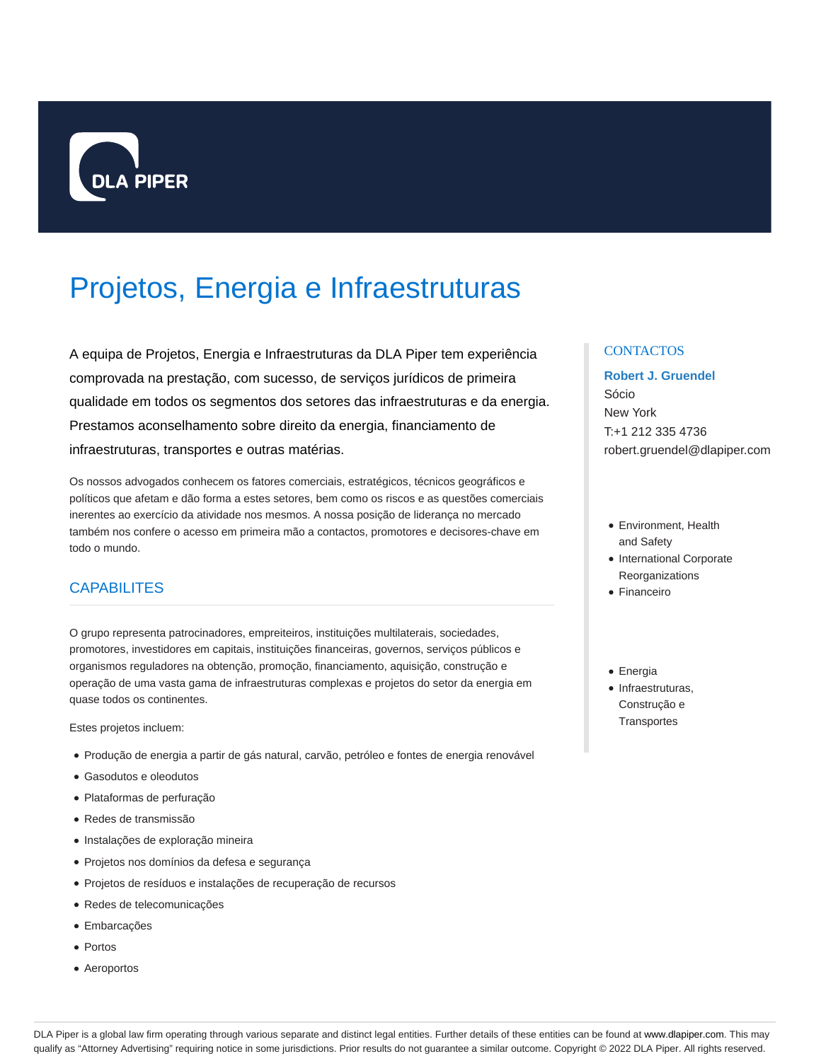

# Projetos, Energia e Infraestruturas

A equipa de Projetos, Energia e Infraestruturas da DLA Piper tem experiência comprovada na prestação, com sucesso, de serviços jurídicos de primeira qualidade em todos os segmentos dos setores das infraestruturas e da energia. Prestamos aconselhamento sobre direito da energia, financiamento de infraestruturas, transportes e outras matérias.

Os nossos advogados conhecem os fatores comerciais, estratégicos, técnicos geográficos e políticos que afetam e dão forma a estes setores, bem como os riscos e as questões comerciais inerentes ao exercício da atividade nos mesmos. A nossa posição de liderança no mercado também nos confere o acesso em primeira mão a contactos, promotores e decisores-chave em todo o mundo.

## **CAPABILITES**

O grupo representa patrocinadores, empreiteiros, instituições multilaterais, sociedades, promotores, investidores em capitais, instituições financeiras, governos, serviços públicos e organismos reguladores na obtenção, promoção, financiamento, aquisição, construção e operação de uma vasta gama de infraestruturas complexas e projetos do setor da energia em quase todos os continentes.

Estes projetos incluem:

- Produção de energia a partir de gás natural, carvão, petróleo e fontes de energia renovável
- Gasodutos e oleodutos
- Plataformas de perfuração
- Redes de transmissão
- Instalações de exploração mineira
- Projetos nos domínios da defesa e segurança
- Projetos de resíduos e instalações de recuperação de recursos
- Redes de telecomunicações
- Embarcações
- Portos
- Aeroportos

## **CONTACTOS**

# **Robert J. Gruendel**

Sócio New York T:+1 212 335 4736 robert.gruendel@dlapiper.com

- Environment, Health and Safety
- International Corporate Reorganizations
- Financeiro
- Energia
- Infraestruturas, Construção e **Transportes**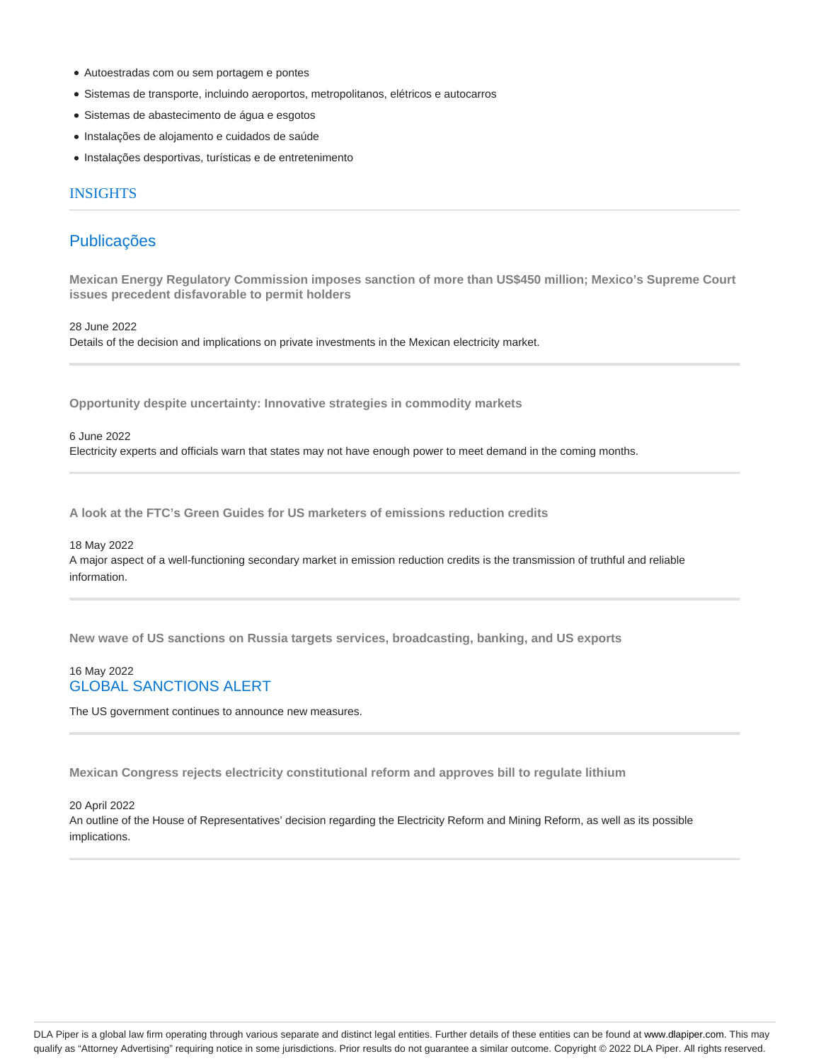- Autoestradas com ou sem portagem e pontes
- Sistemas de transporte, incluindo aeroportos, metropolitanos, elétricos e autocarros
- Sistemas de abastecimento de água e esgotos
- Instalações de alojamento e cuidados de saúde
- Instalações desportivas, turísticas e de entretenimento

## INSIGHTS

## Publicações

**Mexican Energy Regulatory Commission imposes sanction of more than US\$450 million; Mexico's Supreme Court issues precedent disfavorable to permit holders**

28 June 2022

Details of the decision and implications on private investments in the Mexican electricity market.

**Opportunity despite uncertainty: Innovative strategies in commodity markets**

## 6 June 2022

Electricity experts and officials warn that states may not have enough power to meet demand in the coming months.

**A look at the FTC's Green Guides for US marketers of emissions reduction credits**

## 18 May 2022

A major aspect of a well-functioning secondary market in emission reduction credits is the transmission of truthful and reliable information.

**New wave of US sanctions on Russia targets services, broadcasting, banking, and US exports**

## 16 May 2022 GLOBAL SANCTIONS ALERT

The US government continues to announce new measures.

**Mexican Congress rejects electricity constitutional reform and approves bill to regulate lithium**

#### 20 April 2022

An outline of the House of Representatives' decision regarding the Electricity Reform and Mining Reform, as well as its possible implications.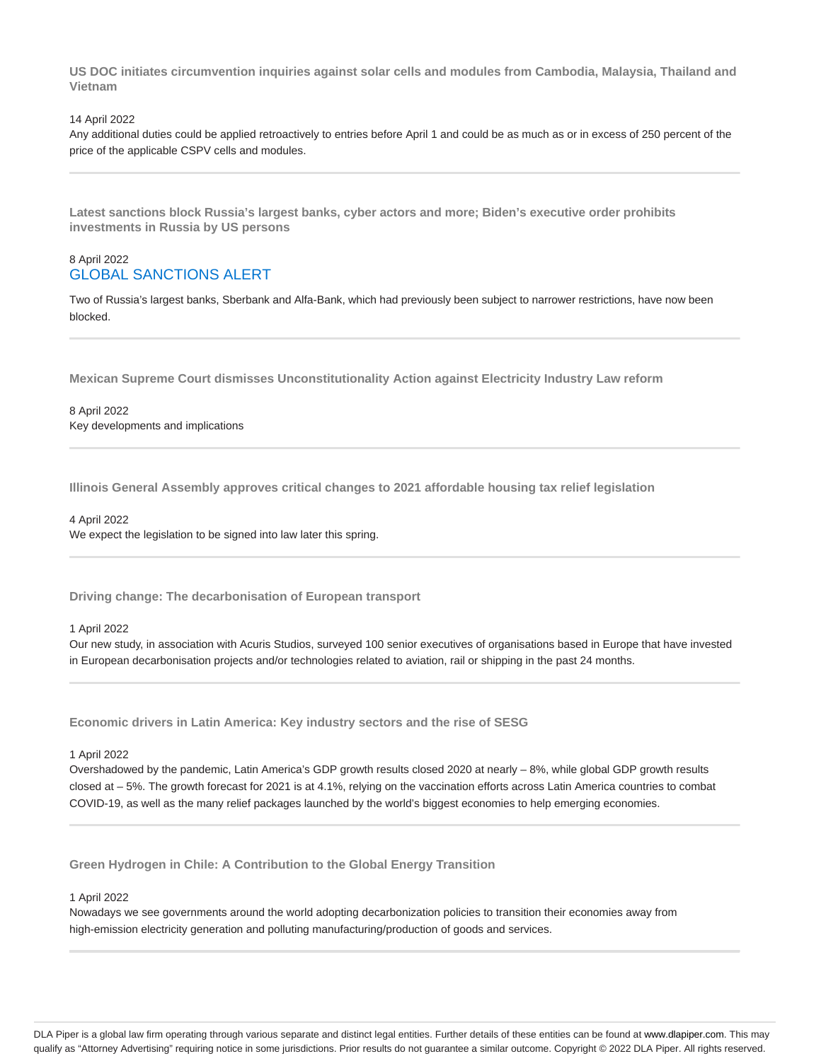**US DOC initiates circumvention inquiries against solar cells and modules from Cambodia, Malaysia, Thailand and Vietnam**

#### 14 April 2022

Any additional duties could be applied retroactively to entries before April 1 and could be as much as or in excess of 250 percent of the price of the applicable CSPV cells and modules.

**Latest sanctions block Russia's largest banks, cyber actors and more; Biden's executive order prohibits investments in Russia by US persons**

## 8 April 2022 GLOBAL SANCTIONS ALERT

Two of Russia's largest banks, Sberbank and Alfa-Bank, which had previously been subject to narrower restrictions, have now been blocked.

**Mexican Supreme Court dismisses Unconstitutionality Action against Electricity Industry Law reform**

8 April 2022 Key developments and implications

**Illinois General Assembly approves critical changes to 2021 affordable housing tax relief legislation**

## 4 April 2022

We expect the legislation to be signed into law later this spring.

**Driving change: The decarbonisation of European transport**

#### 1 April 2022

Our new study, in association with Acuris Studios, surveyed 100 senior executives of organisations based in Europe that have invested in European decarbonisation projects and/or technologies related to aviation, rail or shipping in the past 24 months.

**Economic drivers in Latin America: Key industry sectors and the rise of SESG**

#### 1 April 2022

Overshadowed by the pandemic, Latin America's GDP growth results closed 2020 at nearly – 8%, while global GDP growth results closed at – 5%. The growth forecast for 2021 is at 4.1%, relying on the vaccination efforts across Latin America countries to combat COVID-19, as well as the many relief packages launched by the world's biggest economies to help emerging economies.

**Green Hydrogen in Chile: A Contribution to the Global Energy Transition**

#### 1 April 2022

Nowadays we see governments around the world adopting decarbonization policies to transition their economies away from high-emission electricity generation and polluting manufacturing/production of goods and services.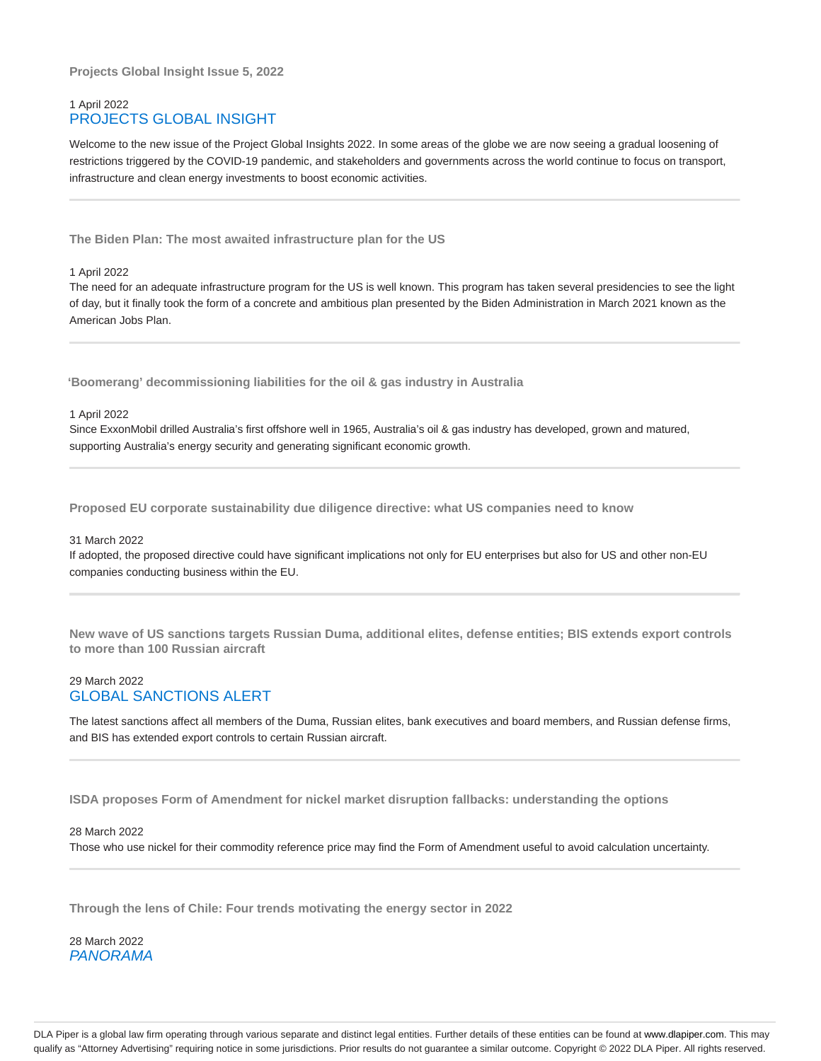**Projects Global Insight Issue 5, 2022**

## 1 April 2022 PROJECTS GLOBAL INSIGHT

Welcome to the new issue of the Project Global Insights 2022. In some areas of the globe we are now seeing a gradual loosening of restrictions triggered by the COVID-19 pandemic, and stakeholders and governments across the world continue to focus on transport, infrastructure and clean energy investments to boost economic activities.

**The Biden Plan: The most awaited infrastructure plan for the US**

1 April 2022

The need for an adequate infrastructure program for the US is well known. This program has taken several presidencies to see the light of day, but it finally took the form of a concrete and ambitious plan presented by the Biden Administration in March 2021 known as the American Jobs Plan.

**'Boomerang' decommissioning liabilities for the oil & gas industry in Australia**

## 1 April 2022

Since ExxonMobil drilled Australia's first offshore well in 1965, Australia's oil & gas industry has developed, grown and matured, supporting Australia's energy security and generating significant economic growth.

**Proposed EU corporate sustainability due diligence directive: what US companies need to know**

#### 31 March 2022

If adopted, the proposed directive could have significant implications not only for EU enterprises but also for US and other non-EU companies conducting business within the EU.

**New wave of US sanctions targets Russian Duma, additional elites, defense entities; BIS extends export controls to more than 100 Russian aircraft**

## 29 March 2022 GLOBAL SANCTIONS ALERT

The latest sanctions affect all members of the Duma, Russian elites, bank executives and board members, and Russian defense firms, and BIS has extended export controls to certain Russian aircraft.

**ISDA proposes Form of Amendment for nickel market disruption fallbacks: understanding the options**

## 28 March 2022

Those who use nickel for their commodity reference price may find the Form of Amendment useful to avoid calculation uncertainty.

**Through the lens of Chile: Four trends motivating the energy sector in 2022**

28 March 2022 PANORAMA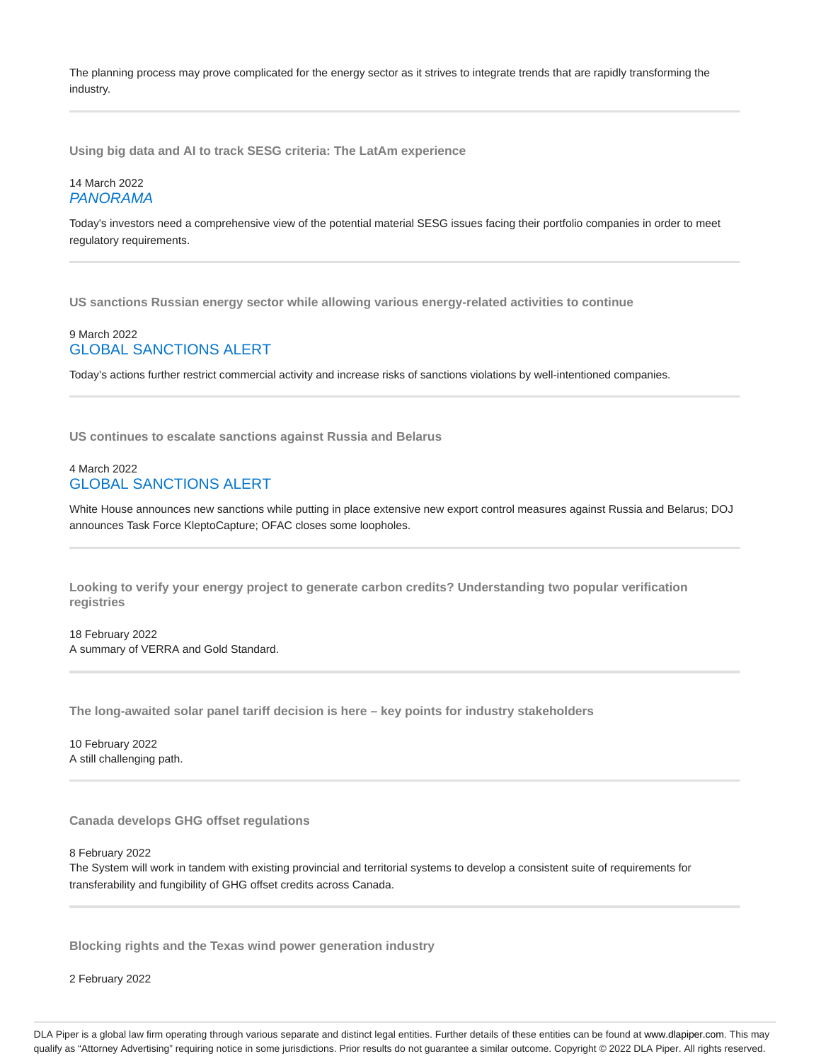The planning process may prove complicated for the energy sector as it strives to integrate trends that are rapidly transforming the industry.

**Using big data and AI to track SESG criteria: The LatAm experience**

## 14 March 2022 PANORAMA

Today's investors need a comprehensive view of the potential material SESG issues facing their portfolio companies in order to meet regulatory requirements.

**US sanctions Russian energy sector while allowing various energy-related activities to continue**

## 9 March 2022 GLOBAL SANCTIONS ALERT

Today's actions further restrict commercial activity and increase risks of sanctions violations by well-intentioned companies.

**US continues to escalate sanctions against Russia and Belarus**

## 4 March 2022 GLOBAL SANCTIONS ALERT

White House announces new sanctions while putting in place extensive new export control measures against Russia and Belarus; DOJ announces Task Force KleptoCapture; OFAC closes some loopholes.

**Looking to verify your energy project to generate carbon credits? Understanding two popular verification registries**

18 February 2022 A summary of VERRA and Gold Standard.

**The long-awaited solar panel tariff decision is here – key points for industry stakeholders**

10 February 2022 A still challenging path.

**Canada develops GHG offset regulations**

8 February 2022

The System will work in tandem with existing provincial and territorial systems to develop a consistent suite of requirements for transferability and fungibility of GHG offset credits across Canada.

**Blocking rights and the Texas wind power generation industry**

2 February 2022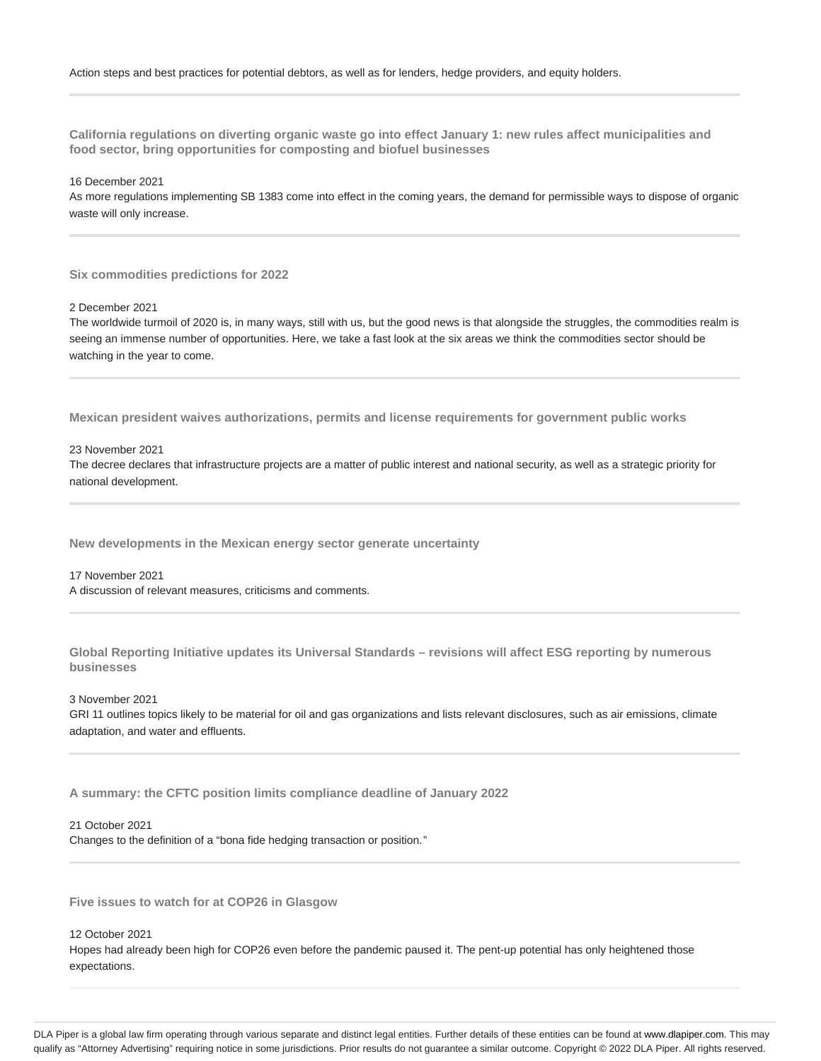**California regulations on diverting organic waste go into effect January 1: new rules affect municipalities and food sector, bring opportunities for composting and biofuel businesses**

16 December 2021

As more regulations implementing SB 1383 come into effect in the coming years, the demand for permissible ways to dispose of organic waste will only increase.

**Six commodities predictions for 2022**

2 December 2021

The worldwide turmoil of 2020 is, in many ways, still with us, but the good news is that alongside the struggles, the commodities realm is seeing an immense number of opportunities. Here, we take a fast look at the six areas we think the commodities sector should be watching in the year to come.

**Mexican president waives authorizations, permits and license requirements for government public works**

## 23 November 2021

The decree declares that infrastructure projects are a matter of public interest and national security, as well as a strategic priority for national development.

**New developments in the Mexican energy sector generate uncertainty**

#### 17 November 2021

A discussion of relevant measures, criticisms and comments.

**Global Reporting Initiative updates its Universal Standards – revisions will affect ESG reporting by numerous businesses**

3 November 2021

GRI 11 outlines topics likely to be material for oil and gas organizations and lists relevant disclosures, such as air emissions, climate adaptation, and water and effluents.

**A summary: the CFTC position limits compliance deadline of January 2022**

21 October 2021

Changes to the definition of a "bona fide hedging transaction or position."

**Five issues to watch for at COP26 in Glasgow**

12 October 2021

Hopes had already been high for COP26 even before the pandemic paused it. The pent-up potential has only heightened those expectations.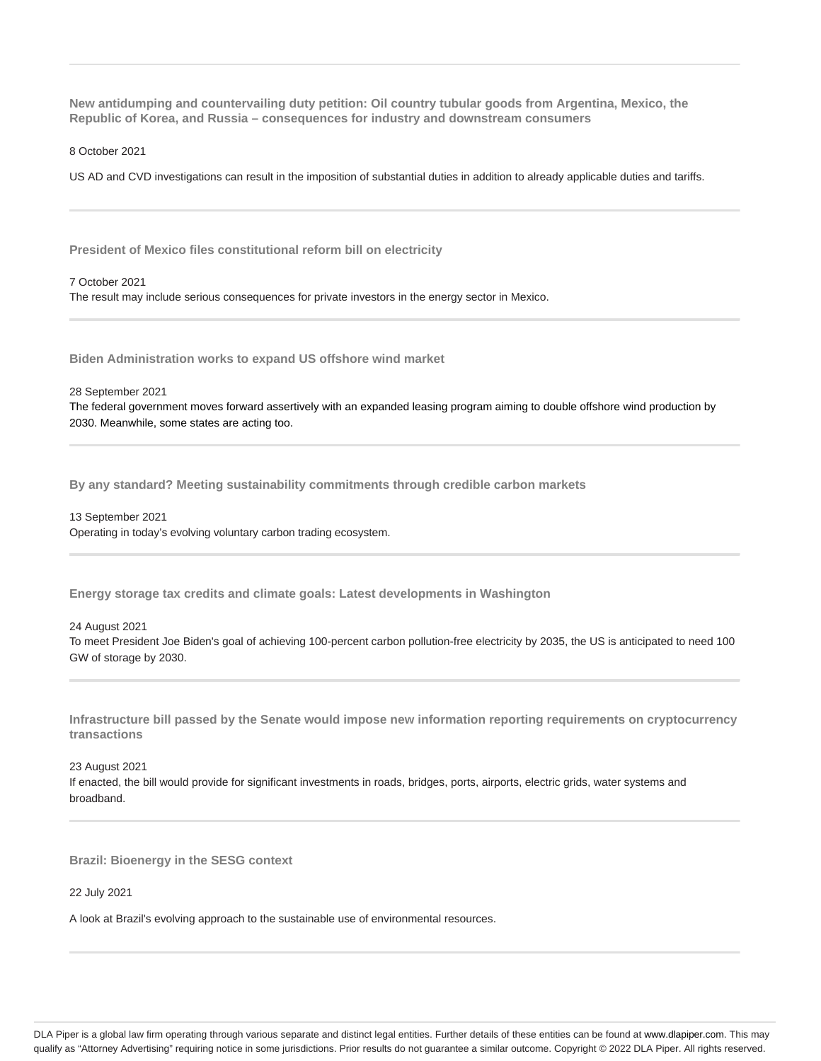**New antidumping and countervailing duty petition: Oil country tubular goods from Argentina, Mexico, the Republic of Korea, and Russia – consequences for industry and downstream consumers**

8 October 2021

US AD and CVD investigations can result in the imposition of substantial duties in addition to already applicable duties and tariffs.

**President of Mexico files constitutional reform bill on electricity**

7 October 2021 The result may include serious consequences for private investors in the energy sector in Mexico.

**Biden Administration works to expand US offshore wind market**

28 September 2021

The federal government moves forward assertively with an expanded leasing program aiming to double offshore wind production by 2030. Meanwhile, some states are acting too.

**By any standard? Meeting sustainability commitments through credible carbon markets**

13 September 2021 Operating in today's evolving voluntary carbon trading ecosystem.

**Energy storage tax credits and climate goals: Latest developments in Washington**

24 August 2021 To meet President Joe Biden's goal of achieving 100-percent carbon pollution-free electricity by 2035, the US is anticipated to need 100 GW of storage by 2030.

**Infrastructure bill passed by the Senate would impose new information reporting requirements on cryptocurrency transactions**

23 August 2021 If enacted, the bill would provide for significant investments in roads, bridges, ports, airports, electric grids, water systems and broadband.

**Brazil: Bioenergy in the SESG context**

22 July 2021

A look at Brazil's evolving approach to the sustainable use of environmental resources.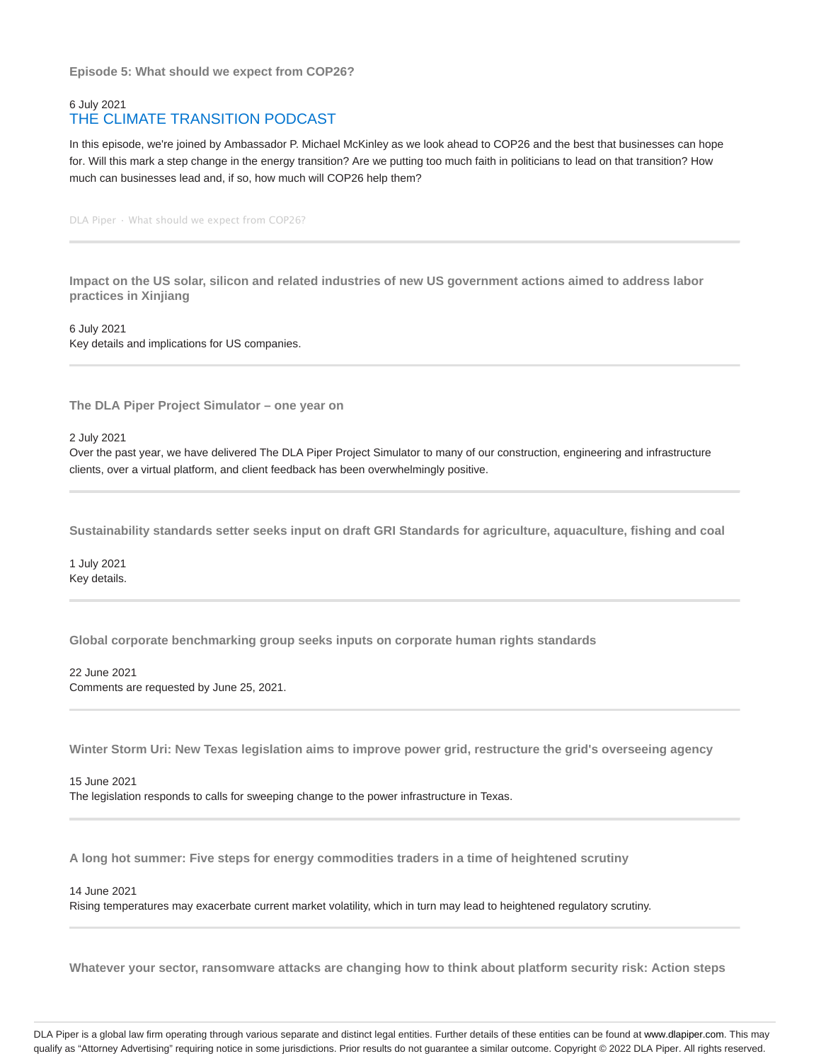**Episode 5: What should we expect from COP26?**

## 6 July 2021 THE CLIMATE TRANSITION PODCAST

In this episode, we're joined by Ambassador P. Michael McKinley as we look ahead to COP26 and the best that businesses can hope for. Will this mark a step change in the energy transition? Are we putting too much faith in politicians to lead on that transition? How much can businesses lead and, if so, how much will COP26 help them?

DLA Piper · What should we expect from COP26?

**Impact on the US solar, silicon and related industries of new US government actions aimed to address labor practices in Xinjiang**

6 July 2021 Key details and implications for US companies.

**The DLA Piper Project Simulator – one year on**

2 July 2021

Over the past year, we have delivered The DLA Piper Project Simulator to many of our construction, engineering and infrastructure clients, over a virtual platform, and client feedback has been overwhelmingly positive.

**Sustainability standards setter seeks input on draft GRI Standards for agriculture, aquaculture, fishing and coal**

1 July 2021 Key details.

**Global corporate benchmarking group seeks inputs on corporate human rights standards**

22 June 2021 Comments are requested by June 25, 2021.

**Winter Storm Uri: New Texas legislation aims to improve power grid, restructure the grid's overseeing agency**

15 June 2021 The legislation responds to calls for sweeping change to the power infrastructure in Texas.

**A long hot summer: Five steps for energy commodities traders in a time of heightened scrutiny**

## 14 June 2021

Rising temperatures may exacerbate current market volatility, which in turn may lead to heightened regulatory scrutiny.

**Whatever your sector, ransomware attacks are changing how to think about platform security risk: Action steps**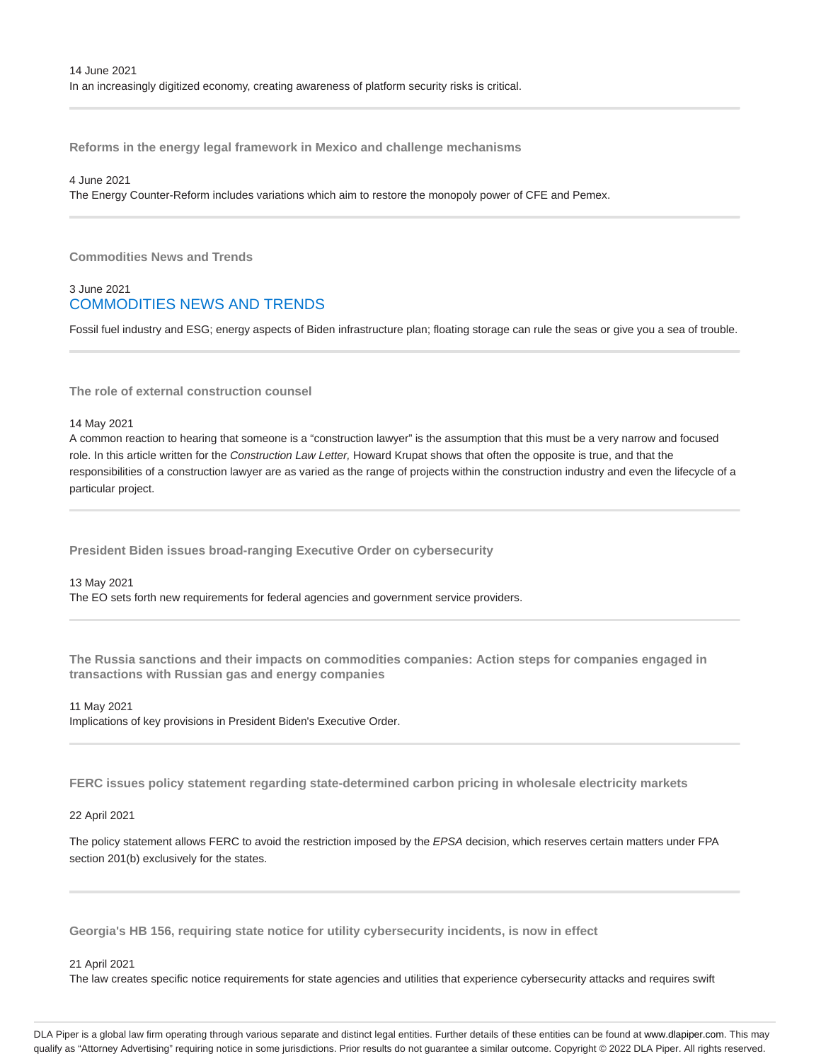**Reforms in the energy legal framework in Mexico and challenge mechanisms**

## 4 June 2021

The Energy Counter-Reform includes variations which aim to restore the monopoly power of CFE and Pemex.

**Commodities News and Trends**

## 3 June 2021 COMMODITIES NEWS AND TRENDS

Fossil fuel industry and ESG; energy aspects of Biden infrastructure plan; floating storage can rule the seas or give you a sea of trouble.

**The role of external construction counsel**

## 14 May 2021

A common reaction to hearing that someone is a "construction lawyer" is the assumption that this must be a very narrow and focused role. In this article written for the Construction Law Letter, Howard Krupat shows that often the opposite is true, and that the responsibilities of a construction lawyer are as varied as the range of projects within the construction industry and even the lifecycle of a particular project.

**President Biden issues broad-ranging Executive Order on cybersecurity**

## 13 May 2021

The EO sets forth new requirements for federal agencies and government service providers.

**The Russia sanctions and their impacts on commodities companies: Action steps for companies engaged in transactions with Russian gas and energy companies**

## 11 May 2021

Implications of key provisions in President Biden's Executive Order.

**FERC issues policy statement regarding state-determined carbon pricing in wholesale electricity markets**

## 22 April 2021

The policy statement allows FERC to avoid the restriction imposed by the EPSA decision, which reserves certain matters under FPA section 201(b) exclusively for the states.

**Georgia's HB 156, requiring state notice for utility cybersecurity incidents, is now in effect**

## 21 April 2021

The law creates specific notice requirements for state agencies and utilities that experience cybersecurity attacks and requires swift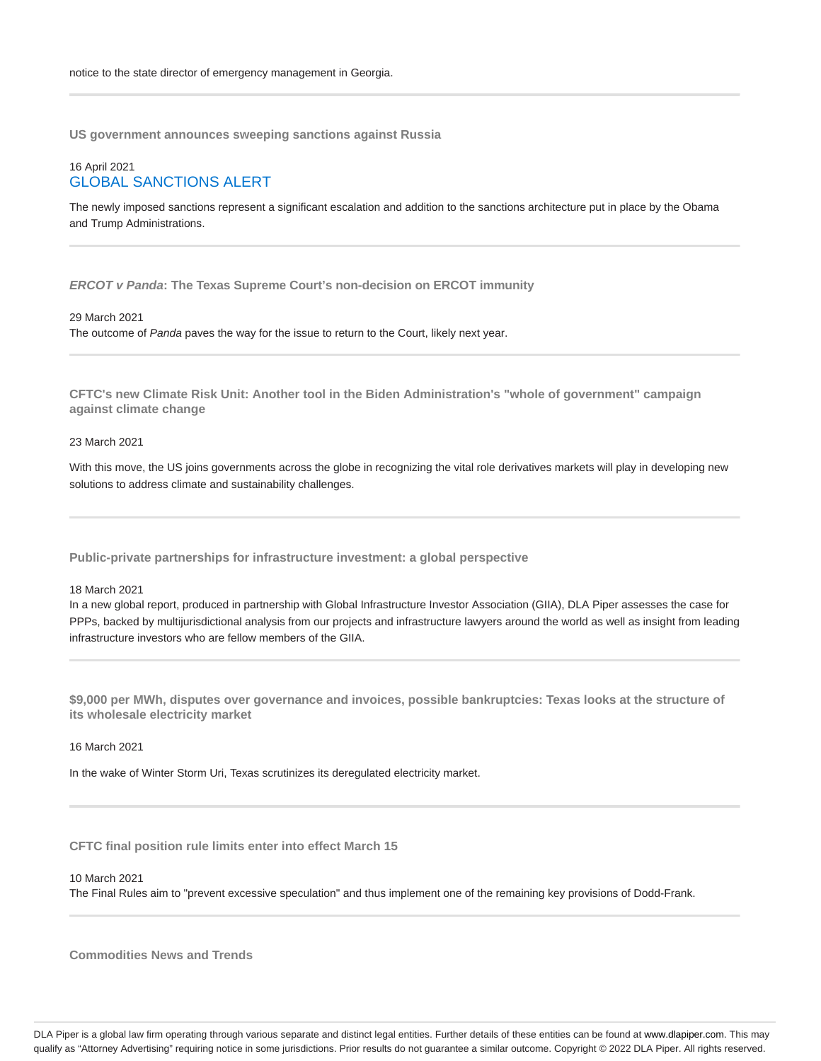**US government announces sweeping sanctions against Russia**

## 16 April 2021 GLOBAL SANCTIONS ALERT

The newly imposed sanctions represent a significant escalation and addition to the sanctions architecture put in place by the Obama and Trump Administrations.

**ERCOT v Panda: The Texas Supreme Court's non-decision on ERCOT immunity**

## 29 March 2021

The outcome of Panda paves the way for the issue to return to the Court, likely next year.

**CFTC's new Climate Risk Unit: Another tool in the Biden Administration's "whole of government" campaign against climate change**

## 23 March 2021

With this move, the US joins governments across the globe in recognizing the vital role derivatives markets will play in developing new solutions to address climate and sustainability challenges.

**Public-private partnerships for infrastructure investment: a global perspective**

#### 18 March 2021

In a new global report, produced in partnership with Global Infrastructure Investor Association (GIIA), DLA Piper assesses the case for PPPs, backed by multijurisdictional analysis from our projects and infrastructure lawyers around the world as well as insight from leading infrastructure investors who are fellow members of the GIIA.

**\$9,000 per MWh, disputes over governance and invoices, possible bankruptcies: Texas looks at the structure of its wholesale electricity market**

#### 16 March 2021

In the wake of Winter Storm Uri, Texas scrutinizes its deregulated electricity market.

**CFTC final position rule limits enter into effect March 15**

10 March 2021

The Final Rules aim to "prevent excessive speculation" and thus implement one of the remaining key provisions of Dodd-Frank.

**Commodities News and Trends**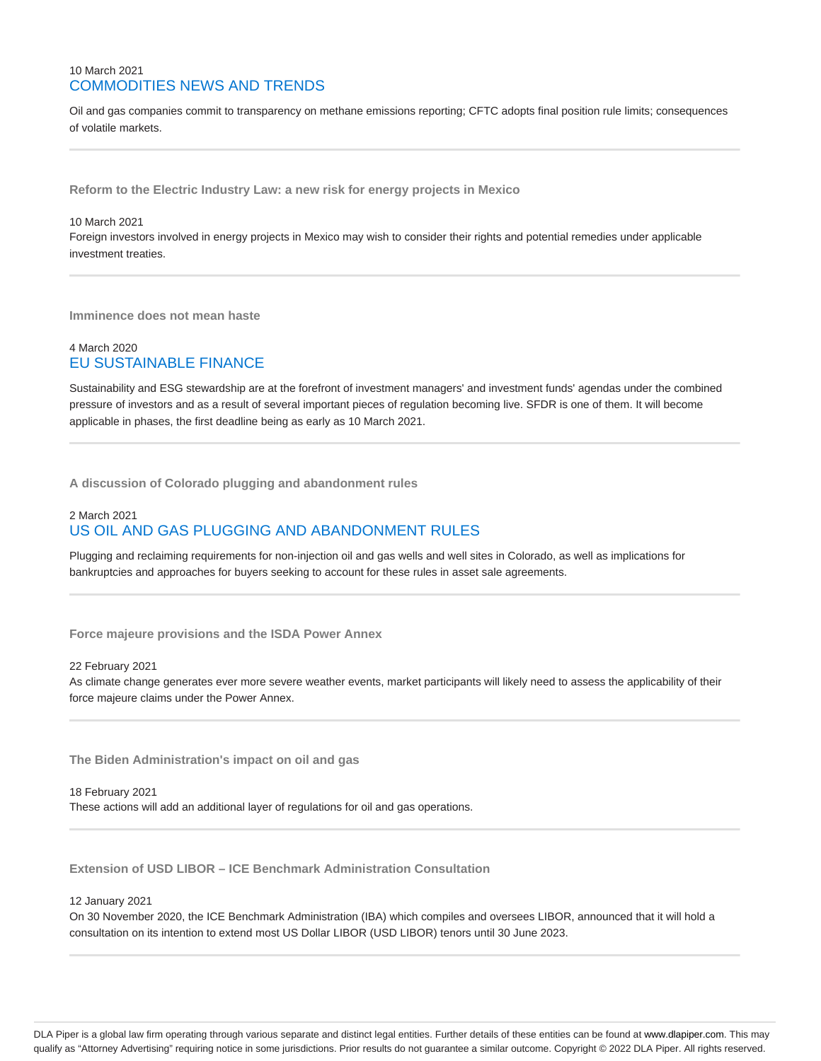## 10 March 2021 COMMODITIES NEWS AND TRENDS

Oil and gas companies commit to transparency on methane emissions reporting; CFTC adopts final position rule limits; consequences of volatile markets.

**Reform to the Electric Industry Law: a new risk for energy projects in Mexico**

## 10 March 2021

Foreign investors involved in energy projects in Mexico may wish to consider their rights and potential remedies under applicable investment treaties.

**Imminence does not mean haste**

## 4 March 2020 EU SUSTAINABLE FINANCE

Sustainability and ESG stewardship are at the forefront of investment managers' and investment funds' agendas under the combined pressure of investors and as a result of several important pieces of regulation becoming live. SFDR is one of them. It will become applicable in phases, the first deadline being as early as 10 March 2021.

**A discussion of Colorado plugging and abandonment rules**

## 2 March 2021 US OIL AND GAS PLUGGING AND ABANDONMENT RULES

Plugging and reclaiming requirements for non-injection oil and gas wells and well sites in Colorado, as well as implications for bankruptcies and approaches for buyers seeking to account for these rules in asset sale agreements.

**Force majeure provisions and the ISDA Power Annex**

#### 22 February 2021

As climate change generates ever more severe weather events, market participants will likely need to assess the applicability of their force majeure claims under the Power Annex.

**The Biden Administration's impact on oil and gas**

18 February 2021 These actions will add an additional layer of regulations for oil and gas operations.

**Extension of USD LIBOR – ICE Benchmark Administration Consultation**

#### 12 January 2021

On 30 November 2020, the ICE Benchmark Administration (IBA) which compiles and oversees LIBOR, announced that it will hold a consultation on its intention to extend most US Dollar LIBOR (USD LIBOR) tenors until 30 June 2023.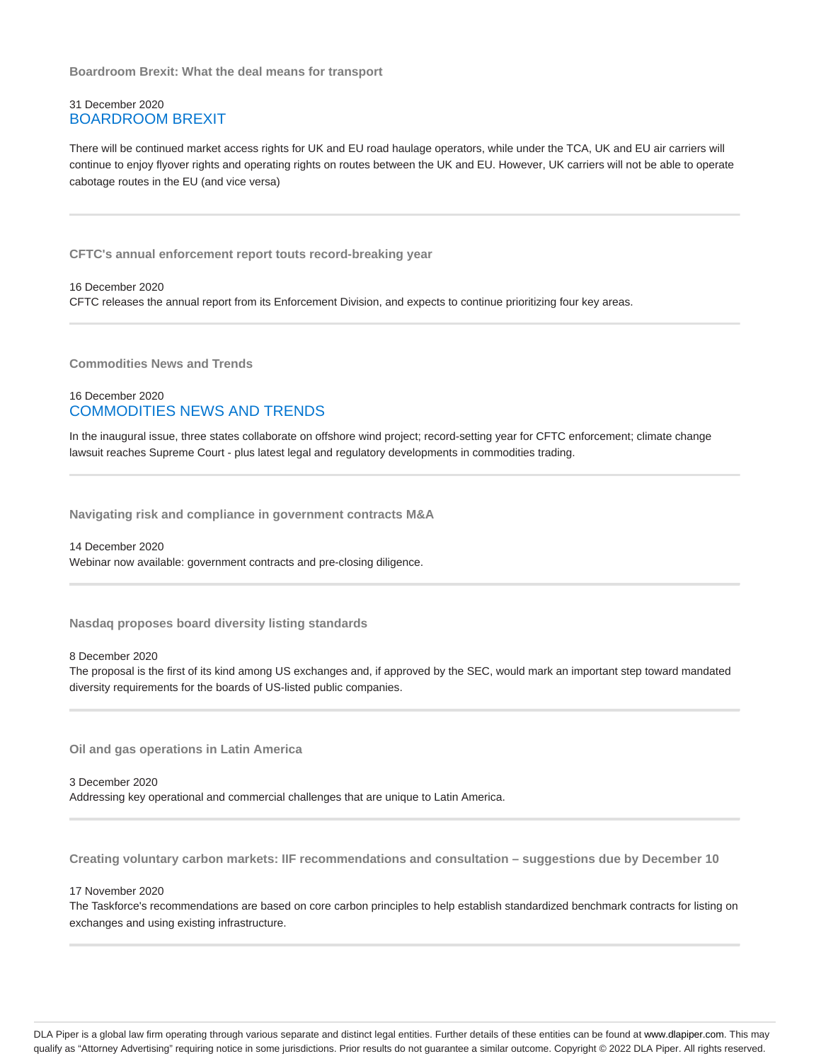**Boardroom Brexit: What the deal means for transport**

## 31 December 2020 BOARDROOM BREXIT

There will be continued market access rights for UK and EU road haulage operators, while under the TCA, UK and EU air carriers will continue to enjoy flyover rights and operating rights on routes between the UK and EU. However, UK carriers will not be able to operate cabotage routes in the EU (and vice versa)

**CFTC's annual enforcement report touts record-breaking year**

16 December 2020

CFTC releases the annual report from its Enforcement Division, and expects to continue prioritizing four key areas.

**Commodities News and Trends**

## 16 December 2020 COMMODITIES NEWS AND TRENDS

In the inaugural issue, three states collaborate on offshore wind project; record-setting year for CFTC enforcement; climate change lawsuit reaches Supreme Court - plus latest legal and regulatory developments in commodities trading.

**Navigating risk and compliance in government contracts M&A**

14 December 2020 Webinar now available: government contracts and pre-closing diligence.

**Nasdaq proposes board diversity listing standards**

## 8 December 2020

The proposal is the first of its kind among US exchanges and, if approved by the SEC, would mark an important step toward mandated diversity requirements for the boards of US-listed public companies.

**Oil and gas operations in Latin America**

3 December 2020 Addressing key operational and commercial challenges that are unique to Latin America.

**Creating voluntary carbon markets: IIF recommendations and consultation – suggestions due by December 10**

17 November 2020

The Taskforce's recommendations are based on core carbon principles to help establish standardized benchmark contracts for listing on exchanges and using existing infrastructure.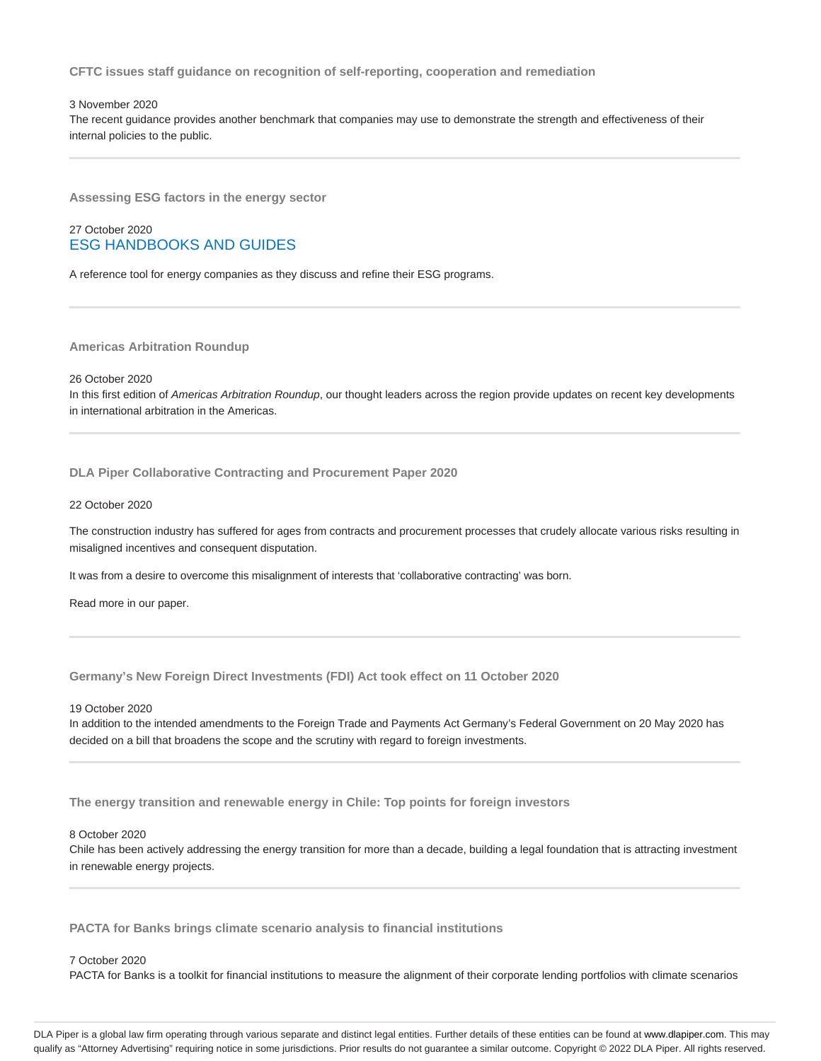**CFTC issues staff guidance on recognition of self-reporting, cooperation and remediation**

#### 3 November 2020

The recent guidance provides another benchmark that companies may use to demonstrate the strength and effectiveness of their internal policies to the public.

**Assessing ESG factors in the energy sector**

## 27 October 2020 ESG HANDBOOKS AND GUIDES

A reference tool for energy companies as they discuss and refine their ESG programs.

**Americas Arbitration Roundup**

26 October 2020

In this first edition of Americas Arbitration Roundup, our thought leaders across the region provide updates on recent key developments in international arbitration in the Americas.

**DLA Piper Collaborative Contracting and Procurement Paper 2020**

#### 22 October 2020

The construction industry has suffered for ages from contracts and procurement processes that crudely allocate various risks resulting in misaligned incentives and consequent disputation.

It was from a desire to overcome this misalignment of interests that 'collaborative contracting' was born.

Read more in our paper.

**Germany's New Foreign Direct Investments (FDI) Act took effect on 11 October 2020**

#### 19 October 2020

In addition to the intended amendments to the Foreign Trade and Payments Act Germany's Federal Government on 20 May 2020 has decided on a bill that broadens the scope and the scrutiny with regard to foreign investments.

**The energy transition and renewable energy in Chile: Top points for foreign investors**

## 8 October 2020

Chile has been actively addressing the energy transition for more than a decade, building a legal foundation that is attracting investment in renewable energy projects.

**PACTA for Banks brings climate scenario analysis to financial institutions**

## 7 October 2020

PACTA for Banks is a toolkit for financial institutions to measure the alignment of their corporate lending portfolios with climate scenarios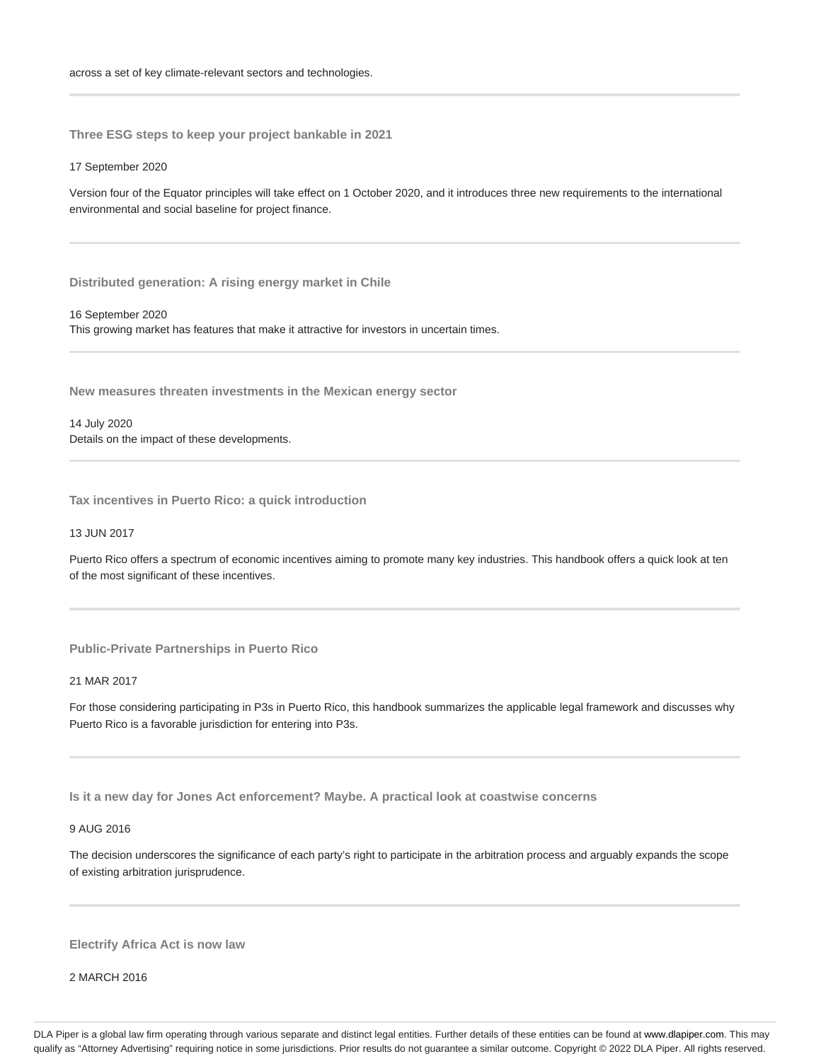**Three ESG steps to keep your project bankable in 2021**

17 September 2020

Version four of the Equator principles will take effect on 1 October 2020, and it introduces three new requirements to the international environmental and social baseline for project finance.

**Distributed generation: A rising energy market in Chile**

16 September 2020

This growing market has features that make it attractive for investors in uncertain times.

**New measures threaten investments in the Mexican energy sector**

14 July 2020 Details on the impact of these developments.

**Tax incentives in Puerto Rico: a quick introduction**

13 JUN 2017

Puerto Rico offers a spectrum of economic incentives aiming to promote many key industries. This handbook offers a quick look at ten of the most significant of these incentives.

**Public-Private Partnerships in Puerto Rico**

21 MAR 2017

For those considering participating in P3s in Puerto Rico, this handbook summarizes the applicable legal framework and discusses why Puerto Rico is a favorable jurisdiction for entering into P3s.

**Is it a new day for Jones Act enforcement? Maybe. A practical look at coastwise concerns**

9 AUG 2016

The decision underscores the significance of each party's right to participate in the arbitration process and arguably expands the scope of existing arbitration jurisprudence.

**Electrify Africa Act is now law**

2 MARCH 2016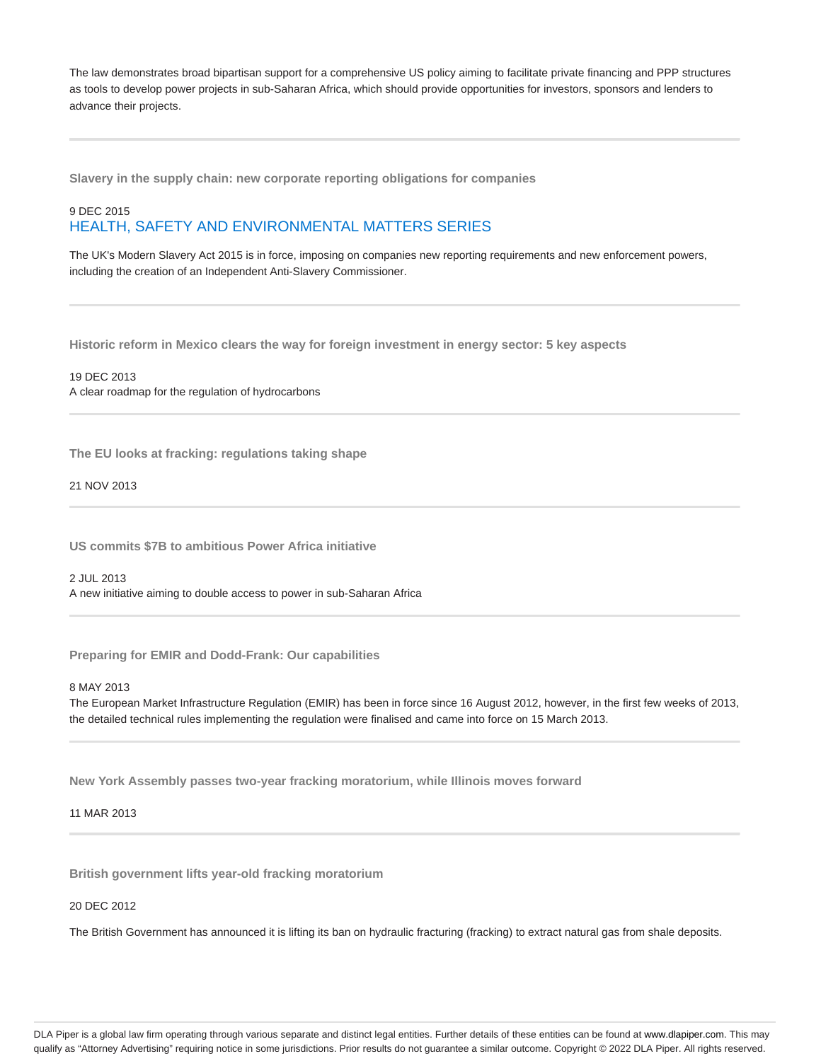The law demonstrates broad bipartisan support for a comprehensive US policy aiming to facilitate private financing and PPP structures as tools to develop power projects in sub-Saharan Africa, which should provide opportunities for investors, sponsors and lenders to advance their projects.

**Slavery in the supply chain: new corporate reporting obligations for companies**

## 9 DEC 2015 HEALTH, SAFETY AND ENVIRONMENTAL MATTERS SERIES

The UK's Modern Slavery Act 2015 is in force, imposing on companies new reporting requirements and new enforcement powers, including the creation of an Independent Anti-Slavery Commissioner.

**Historic reform in Mexico clears the way for foreign investment in energy sector: 5 key aspects**

19 DEC 2013 A clear roadmap for the regulation of hydrocarbons

**The EU looks at fracking: regulations taking shape**

21 NOV 2013

**US commits \$7B to ambitious Power Africa initiative**

2 JUL 2013 A new initiative aiming to double access to power in sub-Saharan Africa

**Preparing for EMIR and Dodd-Frank: Our capabilities**

8 MAY 2013

The European Market Infrastructure Regulation (EMIR) has been in force since 16 August 2012, however, in the first few weeks of 2013, the detailed technical rules implementing the regulation were finalised and came into force on 15 March 2013.

**New York Assembly passes two-year fracking moratorium, while Illinois moves forward**

11 MAR 2013

**British government lifts year-old fracking moratorium**

20 DEC 2012

The British Government has announced it is lifting its ban on hydraulic fracturing (fracking) to extract natural gas from shale deposits.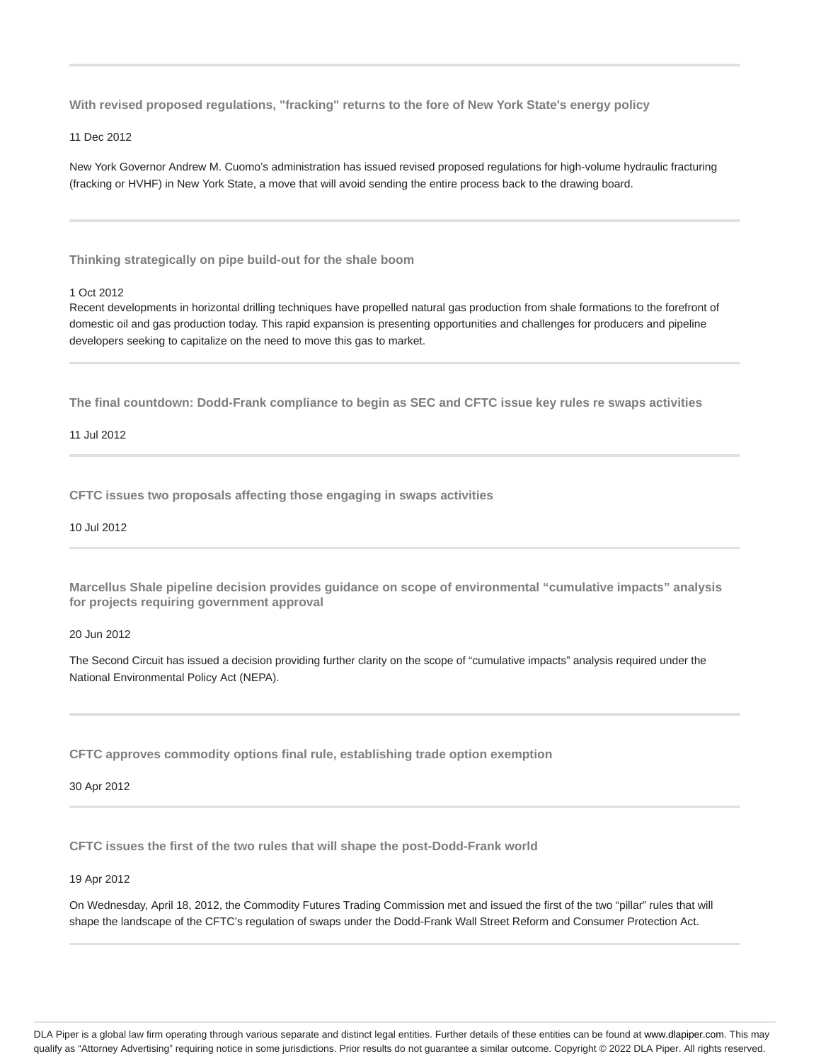**With revised proposed regulations, "fracking" returns to the fore of New York State's energy policy**

11 Dec 2012

New York Governor Andrew M. Cuomo's administration has issued revised proposed regulations for high-volume hydraulic fracturing (fracking or HVHF) in New York State, a move that will avoid sending the entire process back to the drawing board.

**Thinking strategically on pipe build-out for the shale boom**

#### 1 Oct 2012

Recent developments in horizontal drilling techniques have propelled natural gas production from shale formations to the forefront of domestic oil and gas production today. This rapid expansion is presenting opportunities and challenges for producers and pipeline developers seeking to capitalize on the need to move this gas to market.

**The final countdown: Dodd-Frank compliance to begin as SEC and CFTC issue key rules re swaps activities**

11 Jul 2012

**CFTC issues two proposals affecting those engaging in swaps activities**

10 Jul 2012

**Marcellus Shale pipeline decision provides guidance on scope of environmental "cumulative impacts" analysis for projects requiring government approval**

20 Jun 2012

The Second Circuit has issued a decision providing further clarity on the scope of "cumulative impacts" analysis required under the National Environmental Policy Act (NEPA).

**CFTC approves commodity options final rule, establishing trade option exemption**

30 Apr 2012

**CFTC issues the first of the two rules that will shape the post-Dodd-Frank world**

19 Apr 2012

On Wednesday, April 18, 2012, the Commodity Futures Trading Commission met and issued the first of the two "pillar" rules that will shape the landscape of the CFTC's regulation of swaps under the Dodd-Frank Wall Street Reform and Consumer Protection Act.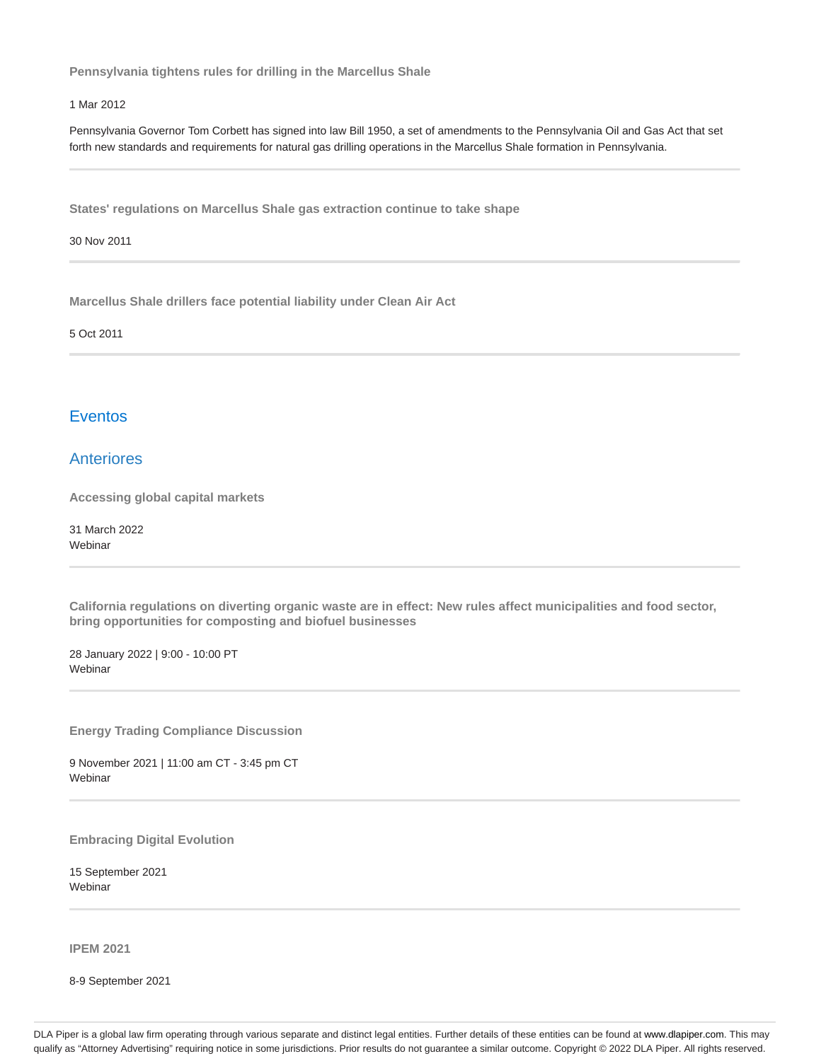**Pennsylvania tightens rules for drilling in the Marcellus Shale**

## 1 Mar 2012

Pennsylvania Governor Tom Corbett has signed into law Bill 1950, a set of amendments to the Pennsylvania Oil and Gas Act that set forth new standards and requirements for natural gas drilling operations in the Marcellus Shale formation in Pennsylvania.

**States' regulations on Marcellus Shale gas extraction continue to take shape**

30 Nov 2011

**Marcellus Shale drillers face potential liability under Clean Air Act**

5 Oct 2011

## Eventos

## Anteriores

**Accessing global capital markets**

31 March 2022 Webinar

**California regulations on diverting organic waste are in effect: New rules affect municipalities and food sector, bring opportunities for composting and biofuel businesses**

28 January 2022 | 9:00 - 10:00 PT **Webinar** 

**Energy Trading Compliance Discussion**

9 November 2021 | 11:00 am CT - 3:45 pm CT Webinar

**Embracing Digital Evolution**

15 September 2021 **Webinar** 

**IPEM 2021**

8-9 September 2021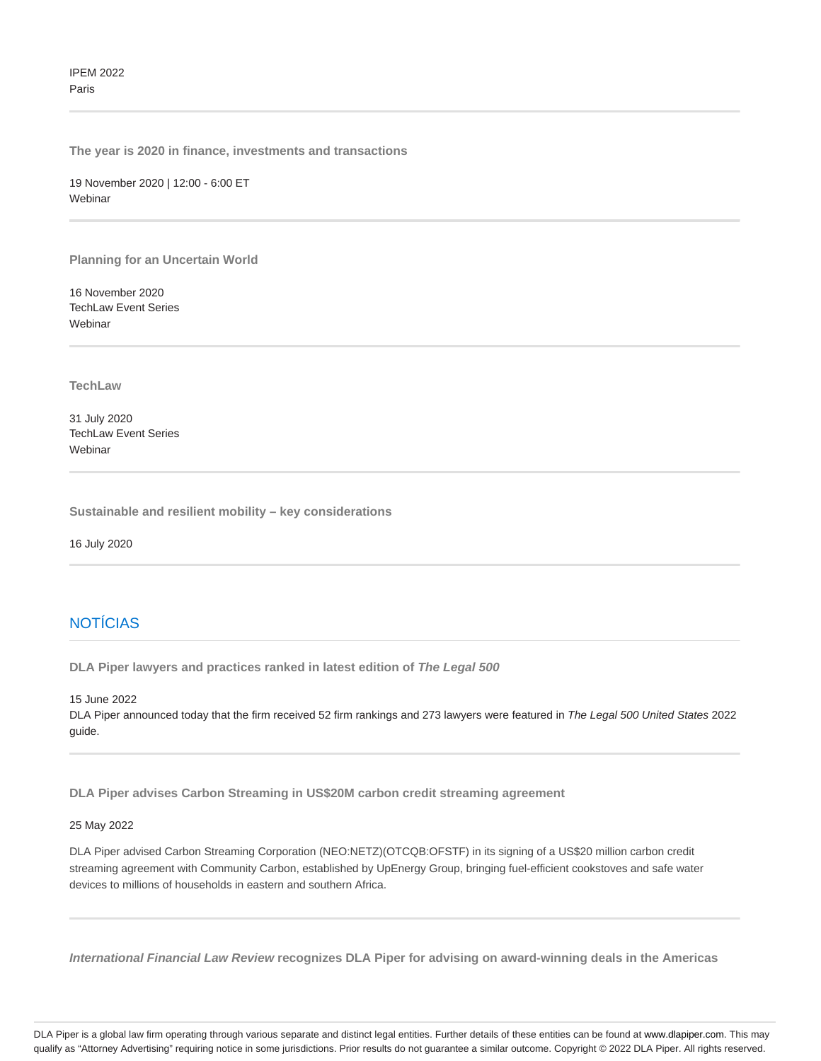**The year is 2020 in finance, investments and transactions**

19 November 2020 | 12:00 - 6:00 ET Webinar

**Planning for an Uncertain World**

16 November 2020 TechLaw Event Series Webinar

**TechLaw**

31 July 2020 TechLaw Event Series **Webinar** 

**Sustainable and resilient mobility – key considerations**

16 July 2020

## **NOTÍCIAS**

**DLA Piper lawyers and practices ranked in latest edition of The Legal 500**

15 June 2022

DLA Piper announced today that the firm received 52 firm rankings and 273 lawyers were featured in The Legal 500 United States 2022 guide.

**DLA Piper advises Carbon Streaming in US\$20M carbon credit streaming agreement**

## 25 May 2022

DLA Piper advised Carbon Streaming Corporation (NEO:NETZ)(OTCQB:OFSTF) in its signing of a US\$20 million carbon credit streaming agreement with Community Carbon, established by UpEnergy Group, bringing fuel-efficient cookstoves and safe water devices to millions of households in eastern and southern Africa.

**International Financial Law Review recognizes DLA Piper for advising on award-winning deals in the Americas**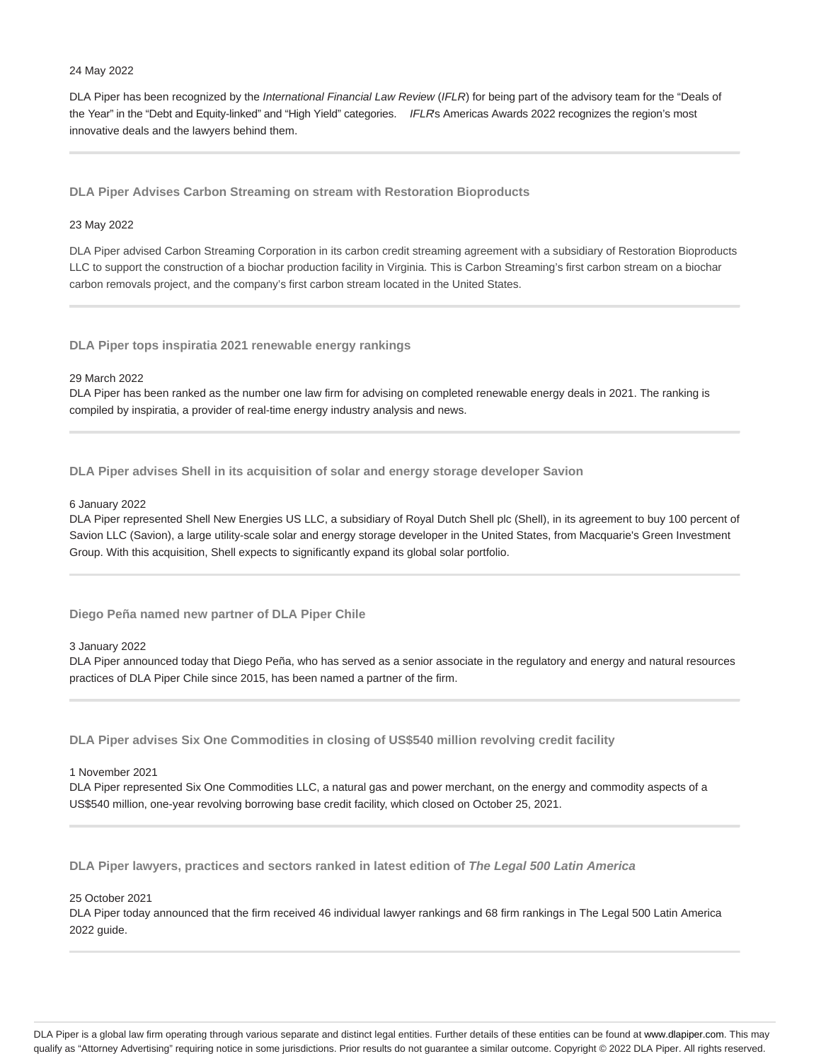#### 24 May 2022

DLA Piper has been recognized by the International Financial Law Review (IFLR) for being part of the advisory team for the "Deals of the Year" in the "Debt and Equity-linked" and "High Yield" categories. IFLRs Americas Awards 2022 recognizes the region's most innovative deals and the lawyers behind them.

**DLA Piper Advises Carbon Streaming on stream with Restoration Bioproducts**

## 23 May 2022

DLA Piper advised Carbon Streaming Corporation in its carbon credit streaming agreement with a subsidiary of Restoration Bioproducts LLC to support the construction of a biochar production facility in Virginia. This is Carbon Streaming's first carbon stream on a biochar carbon removals project, and the company's first carbon stream located in the United States.

**DLA Piper tops inspiratia 2021 renewable energy rankings**

## 29 March 2022

DLA Piper has been ranked as the number one law firm for advising on completed renewable energy deals in 2021. The ranking is compiled by inspiratia, a provider of real-time energy industry analysis and news.

**DLA Piper advises Shell in its acquisition of solar and energy storage developer Savion**

## 6 January 2022

DLA Piper represented Shell New Energies US LLC, a subsidiary of Royal Dutch Shell plc (Shell), in its agreement to buy 100 percent of Savion LLC (Savion), a large utility-scale solar and energy storage developer in the United States, from Macquarie's Green Investment Group. With this acquisition, Shell expects to significantly expand its global solar portfolio.

**Diego Peña named new partner of DLA Piper Chile**

## 3 January 2022

DLA Piper announced today that Diego Peña, who has served as a senior associate in the regulatory and energy and natural resources practices of DLA Piper Chile since 2015, has been named a partner of the firm.

**DLA Piper advises Six One Commodities in closing of US\$540 million revolving credit facility**

## 1 November 2021

DLA Piper represented Six One Commodities LLC, a natural gas and power merchant, on the energy and commodity aspects of a US\$540 million, one-year revolving borrowing base credit facility, which closed on October 25, 2021.

**DLA Piper lawyers, practices and sectors ranked in latest edition of The Legal 500 Latin America**

## 25 October 2021

DLA Piper today announced that the firm received 46 individual lawyer rankings and 68 firm rankings in The Legal 500 Latin America 2022 guide.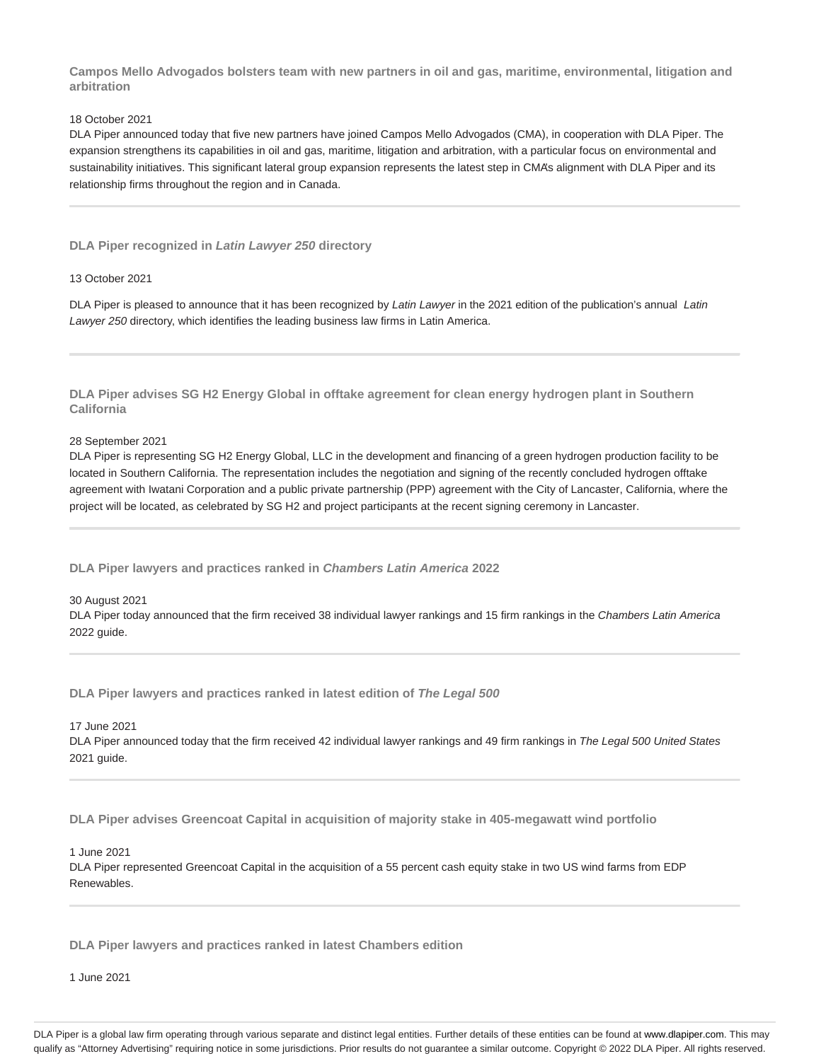**Campos Mello Advogados bolsters team with new partners in oil and gas, maritime, environmental, litigation and arbitration**

## 18 October 2021

DLA Piper announced today that five new partners have joined Campos Mello Advogados (CMA), in cooperation with DLA Piper. The expansion strengthens its capabilities in oil and gas, maritime, litigation and arbitration, with a particular focus on environmental and sustainability initiatives. This significant lateral group expansion represents the latest step in CMA's alignment with DLA Piper and its relationship firms throughout the region and in Canada.

**DLA Piper recognized in Latin Lawyer 250 directory**

## 13 October 2021

DLA Piper is pleased to announce that it has been recognized by Latin Lawyer in the 2021 edition of the publication's annual Latin Lawyer 250 directory, which identifies the leading business law firms in Latin America.

**DLA Piper advises SG H2 Energy Global in offtake agreement for clean energy hydrogen plant in Southern California**

28 September 2021

DLA Piper is representing SG H2 Energy Global, LLC in the development and financing of a green hydrogen production facility to be located in Southern California. The representation includes the negotiation and signing of the recently concluded hydrogen offtake agreement with Iwatani Corporation and a public private partnership (PPP) agreement with the City of Lancaster, California, where the project will be located, as celebrated by SG H2 and project participants at the recent signing ceremony in Lancaster.

**DLA Piper lawyers and practices ranked in Chambers Latin America 2022**

30 August 2021

DLA Piper today announced that the firm received 38 individual lawyer rankings and 15 firm rankings in the Chambers Latin America 2022 guide.

**DLA Piper lawyers and practices ranked in latest edition of The Legal 500**

17 June 2021

DLA Piper announced today that the firm received 42 individual lawyer rankings and 49 firm rankings in The Legal 500 United States 2021 guide.

**DLA Piper advises Greencoat Capital in acquisition of majority stake in 405-megawatt wind portfolio**

1 June 2021

DLA Piper represented Greencoat Capital in the acquisition of a 55 percent cash equity stake in two US wind farms from EDP Renewables.

**DLA Piper lawyers and practices ranked in latest Chambers edition**

1 June 2021